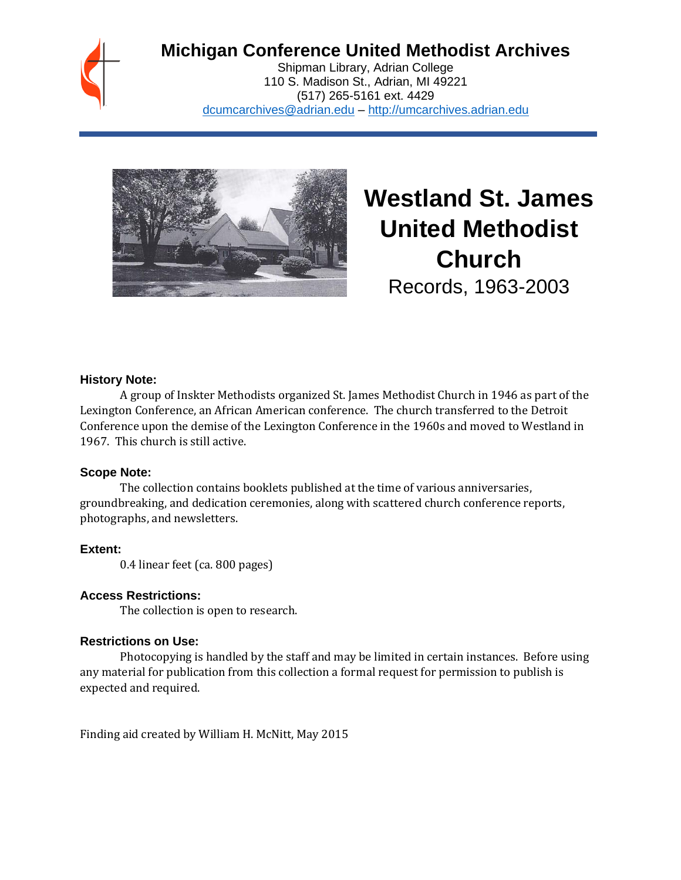

# **Michigan Conference United Methodist Archives**

Shipman Library, Adrian College 110 S. Madison St., Adrian, MI 49221 (517) 265-5161 ext. 4429 [dcumcarchives@adrian.edu](mailto:dcumcarchives@adrian.edu) – [http://umcarchives.adrian.edu](http://umcarchives.adrian.edu/)



**Westland St. James United Methodist Church** Records, 1963-2003

#### **History Note:**

A group of Inskter Methodists organized St. James Methodist Church in 1946 as part of the Lexington Conference, an African American conference. The church transferred to the Detroit Conference upon the demise of the Lexington Conference in the 1960s and moved to Westland in 1967. This church is still active.

#### **Scope Note:**

The collection contains booklets published at the time of various anniversaries, groundbreaking, and dedication ceremonies, along with scattered church conference reports, photographs, and newsletters.

#### **Extent:**

0.4 linear feet (ca. 800 pages)

#### **Access Restrictions:**

The collection is open to research.

#### **Restrictions on Use:**

Photocopying is handled by the staff and may be limited in certain instances. Before using any material for publication from this collection a formal request for permission to publish is expected and required.

Finding aid created by William H. McNitt, May 2015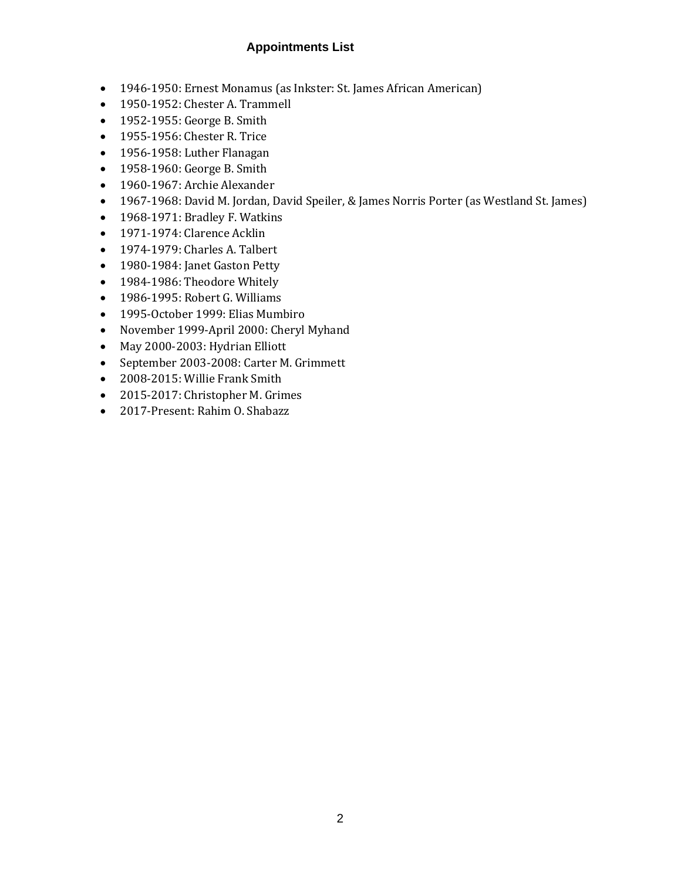# **Appointments List**

- 1946-1950: Ernest Monamus (as Inkster: St. James African American)
- 1950-1952: Chester A. Trammell
- 1952-1955: George B. Smith
- 1955-1956: Chester R. Trice
- 1956-1958: Luther Flanagan
- 1958-1960: George B. Smith
- 1960-1967: Archie Alexander
- 1967-1968: David M. Jordan, David Speiler, & James Norris Porter (as Westland St. James)
- 1968-1971: Bradley F. Watkins
- 1971-1974: Clarence Acklin
- 1974-1979: Charles A. Talbert
- 1980-1984: Janet Gaston Petty
- 1984-1986: Theodore Whitely
- 1986-1995: Robert G. Williams
- 1995-October 1999: Elias Mumbiro
- November 1999-April 2000: Cheryl Myhand
- May 2000-2003: Hydrian Elliott
- September 2003-2008: Carter M. Grimmett
- 2008-2015: Willie Frank Smith
- 2015-2017: Christopher M. Grimes
- 2017-Present: Rahim O. Shabazz